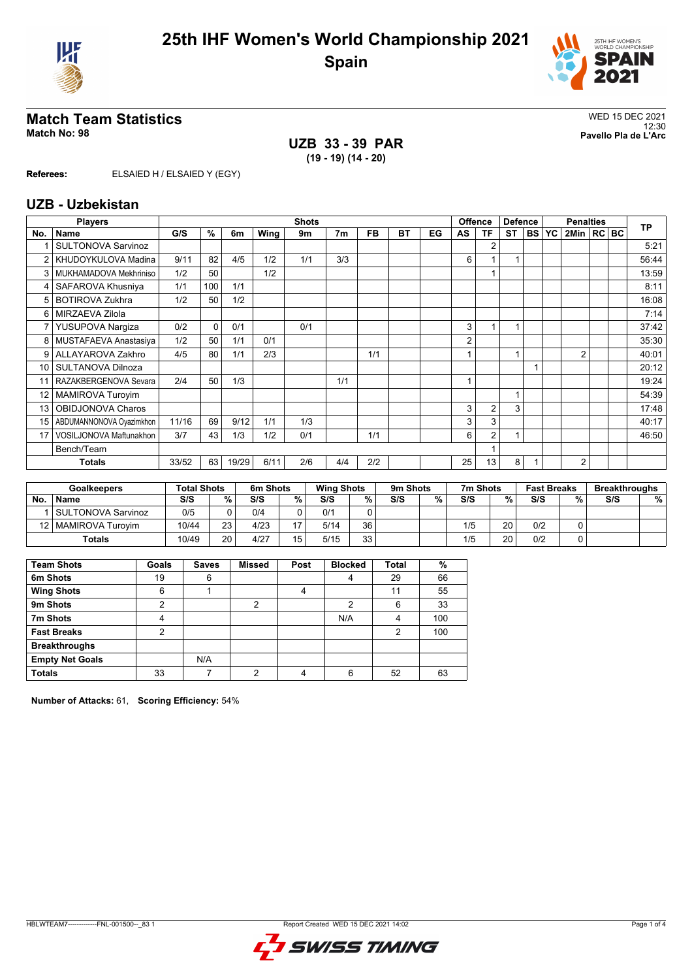



# **Match Team Statistics** WED 15 DEC 2021

12:30 **Match No: 98 Pavello Pla de L'Arc UZB 33 - 39 PAR (19 - 19) (14 - 20)**

**Referees:** ELSAIED H / ELSAIED Y (EGY)

#### **UZB - Uzbekistan**

|                 | <b>Players</b>            |       |          |       |      | <b>Shots</b> |                |           |           |    | Offence |                | <b>Defence</b> |           | <b>Penalties</b> |                |  |  | <b>TP</b> |
|-----------------|---------------------------|-------|----------|-------|------|--------------|----------------|-----------|-----------|----|---------|----------------|----------------|-----------|------------------|----------------|--|--|-----------|
| No.             | Name                      | G/S   | %        | 6m    | Wing | 9m           | 7 <sub>m</sub> | <b>FB</b> | <b>BT</b> | EG | AS      | <b>TF</b>      | <b>ST</b>      | <b>BS</b> | YC               | 2Min   RC   BC |  |  |           |
|                 | <b>SULTONOVA Sarvinoz</b> |       |          |       |      |              |                |           |           |    |         | $\overline{2}$ |                |           |                  |                |  |  | 5:21      |
|                 | KHUDOYKULOVA Madina       | 9/11  | 82       | 4/5   | 1/2  | 1/1          | 3/3            |           |           |    | 6       |                | ۸              |           |                  |                |  |  | 56:44     |
| 3               | MUKHAMADOVA Mekhriniso    | 1/2   | 50       |       | 1/2  |              |                |           |           |    |         |                |                |           |                  |                |  |  | 13:59     |
| 4               | SAFAROVA Khusniya         | 1/1   | 100      | 1/1   |      |              |                |           |           |    |         |                |                |           |                  |                |  |  | 8:11      |
| 5               | <b>BOTIROVA Zukhra</b>    | 1/2   | 50       | 1/2   |      |              |                |           |           |    |         |                |                |           |                  |                |  |  | 16:08     |
| 6               | MIRZAEVA Zilola           |       |          |       |      |              |                |           |           |    |         |                |                |           |                  |                |  |  | 7:14      |
|                 | YUSUPOVA Nargiza          | 0/2   | $\Omega$ | 0/1   |      | 0/1          |                |           |           |    | 3       |                |                |           |                  |                |  |  | 37:42     |
| 8               | MUSTAFAEVA Anastasiya     | 1/2   | 50       | 1/1   | 0/1  |              |                |           |           |    | 2       |                |                |           |                  |                |  |  | 35:30     |
| 9               | ALLAYAROVA Zakhro         | 4/5   | 80       | 1/1   | 2/3  |              |                | 1/1       |           |    |         |                | 1              |           |                  | $\overline{2}$ |  |  | 40:01     |
| 10              | SULTANOVA Dilnoza         |       |          |       |      |              |                |           |           |    |         |                |                |           |                  |                |  |  | 20:12     |
|                 | RAZAKBERGENOVA Sevara     | 2/4   | 50       | 1/3   |      |              | 1/1            |           |           |    |         |                |                |           |                  |                |  |  | 19:24     |
| 12 <sup>°</sup> | <b>MAMIROVA Turoyim</b>   |       |          |       |      |              |                |           |           |    |         |                | 1              |           |                  |                |  |  | 54:39     |
| 13              | OBIDJONOVA Charos         |       |          |       |      |              |                |           |           |    | 3       | $\overline{2}$ | 3              |           |                  |                |  |  | 17:48     |
| 15              | ABDUMANNONOVA Oyazimkhon  | 11/16 | 69       | 9/12  | 1/1  | 1/3          |                |           |           |    | 3       | 3              |                |           |                  |                |  |  | 40:17     |
| 17              | VOSILJONOVA Maftunakhon   | 3/7   | 43       | 1/3   | 1/2  | 0/1          |                | 1/1       |           |    | 6       | $\overline{2}$ | 1              |           |                  |                |  |  | 46:50     |
|                 | Bench/Team                |       |          |       |      |              |                |           |           |    |         |                |                |           |                  |                |  |  |           |
|                 | <b>Totals</b>             | 33/52 | 63       | 19/29 | 6/11 | 2/6          | 4/4            | 2/2       |           |    | 25      | 13             | 8              |           |                  | $\overline{2}$ |  |  |           |
|                 |                           |       |          |       |      |              |                |           |           |    |         |                |                |           |                  |                |  |  |           |

| <b>Goalkeepers</b> |                       | <b>Total Shots</b> |    | 6m Shots |    | <b>Wing Shots</b> |    | 9m Shots |   | 7m Shots |    | <b>Fast Breaks</b> |   | <b>Breakthroughs</b> |   |
|--------------------|-----------------------|--------------------|----|----------|----|-------------------|----|----------|---|----------|----|--------------------|---|----------------------|---|
| <b>No</b>          | <b>Name</b>           | S/S                | %. | S/S      | %  | S/S               | ℅  | S/S      | % | S/S      | %  | S/S                | % | S/S                  | % |
|                    | SULTONOVA Sarvinoz    | 0/5                |    | 0/4      |    | 0/1               |    |          |   |          |    |                    |   |                      |   |
|                    | 12   MAMIROVA Turovim | 10/44              | 23 | 4/23     |    | 5/14              | 36 |          |   | 1/5      | 20 | 0/2                |   |                      |   |
|                    | <b>Totals</b>         | 10/49              | 20 | 4/27     | 15 | 5/15              | 33 |          |   | 1/5      | 20 | 0/2                |   |                      |   |

| <b>Team Shots</b>      | Goals | <b>Saves</b> | <b>Missed</b>  | Post | <b>Blocked</b> | <b>Total</b> | $\%$ |
|------------------------|-------|--------------|----------------|------|----------------|--------------|------|
| 6m Shots               | 19    | 6            |                |      | 4              | 29           | 66   |
| <b>Wing Shots</b>      | 6     |              |                | 4    |                | 11           | 55   |
| 9m Shots               | 2     |              | $\overline{2}$ |      | 2              | 6            | 33   |
| 7m Shots               | 4     |              |                |      | N/A            | 4            | 100  |
| <b>Fast Breaks</b>     | 2     |              |                |      |                | 2            | 100  |
| <b>Breakthroughs</b>   |       |              |                |      |                |              |      |
| <b>Empty Net Goals</b> |       | N/A          |                |      |                |              |      |
| <b>Totals</b>          | 33    |              | ◠              |      | 6              | 52           | 63   |

**Number of Attacks:** 61, **Scoring Efficiency:** 54%

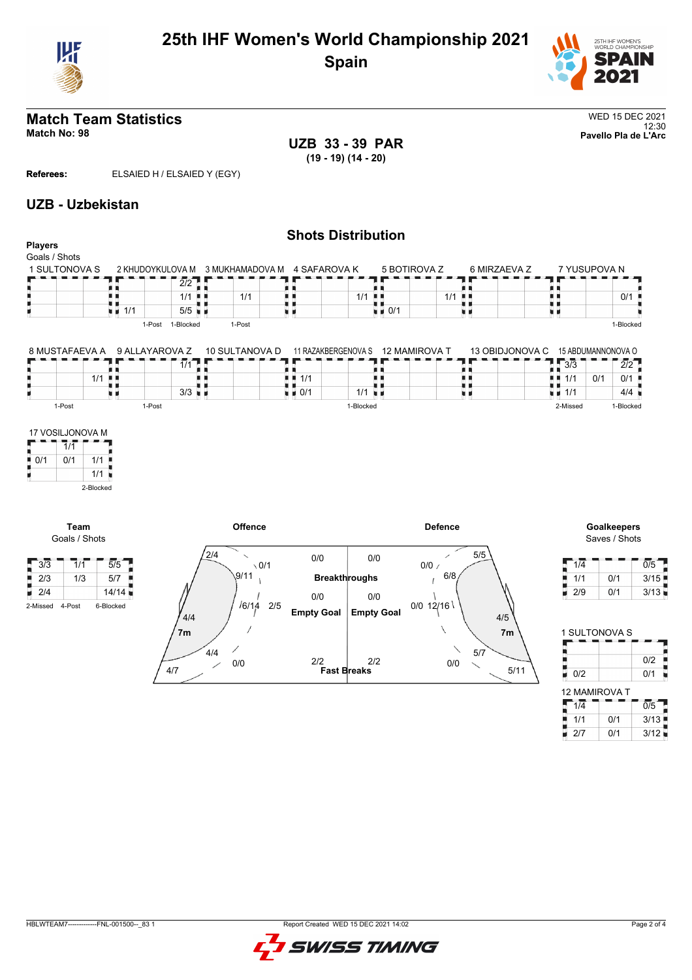



#### **Match Team Statistics** WED 15 DEC 2021 12:30 **Match No: 98 Pavello Pla de L'Arc**

Г

**UZB 33 - 39 PAR (19 - 19) (14 - 20)**

**Referees:** ELSAIED H / ELSAIED Y (EGY)

# **UZB - Uzbekistan**

#### **Shots Distribution Players** Goals / Shots 5 BOTIROVA Z 6 MIRZAEVA Z 7 YUSUPOVA N<br>- - - - - - - - - - - - - - -1 SULTONOVA S 2 KHUDOYKULOVA M 3 MUKHAMADOVA M 4 SAFAROVA K  $\frac{2}{2}$ 89 0 ji nj ÄК A A Ŧ, U 机电 1/1 . 1/1 1/1 1/1 ă. 0/1 п  $\frac{1}{1}$  1/1 5/5  $\frac{1}{2}$  0/1 xв н u p 1-Post 1-Blocked 1-Post 1-Blocked 13 OBIDJONOVA C 15 ABDUMANNONOVA O 8 MUSTAFAEVA A 9 ALLAYAROVA Z 10 SULTANOVA D 11 RAZAKBERGENOVA S  $1/11$ s é a m 0  $3/3$  2/2 ÄЦ H 1/1 H . . Н  $1/1$  $1/1$  0/1 0/1  $3/3$ F  $0/1$  1/1  $1/1$   $4/4$ n e n e 1-Post 1-Post 1-Blocked 2-Missed 1-Blocked 17 VOSILJONOVA M Е  $7/1$  $\bullet$  0/1 0/1 1/1 'n 1/1 2-Blocked **Offence Defence Goalkeepers Team** Goals / Shots Saves / Shots  $\frac{1}{2}$ /4 5/5 0/0 0/0  $\frac{1}{4}$  1/4  $\frac{1}{4}$   $\frac{1}{4}$   $\frac{1}{4}$   $\frac{1}{4}$   $\frac{1}{4}$   $\frac{1}{4}$   $\frac{1}{4}$   $\frac{1}{4}$   $\frac{1}{4}$   $\frac{1}{4}$   $\frac{1}{4}$   $\frac{1}{4}$   $\frac{1}{4}$   $\frac{1}{4}$   $\frac{1}{4}$   $\frac{1}{4}$   $\frac{1}{4}$   $\frac{1}{4}$   $\frac{1}{4}$   $\frac{1}{4}$   $\frac{1}{4$  $3/3$  1/1 5/5  $\sqrt{0/1}$  $0/0 /$  $9/11$  $6/8$  $\frac{2}{3}$  1/3 5/7 Ĥ **Breakthroughs**  $\frac{1}{1}$  1/1 0/1 3/15  $2/4$  14/14 2/9 0/1 3/13  $0/0$  $0/0$ 6/14 2/5  $0/0$  12/16 2-Missed 4-Post 6-Blocked **Empty Goal Empty Goal** 4/4 4/5 1 SULTONOVA S **7m 7m** п 4/4 5/7 B  $0/2$ 0/0 **Fast Breaks** 2/2 2/2 0/0  $\begin{array}{c|c|c|c} \hline \text{O/2} & \text{O/2} \\ \hline \text{O/2} & \text{O/1} \end{array}$ 4/7 5/11 12 MAMIROVA T  $1/4$   $1/4$   $0/5$



 $\frac{1}{2}$  1/1 0/1 3/13  $2/7$  0/1 3/12

Ъ ٠

п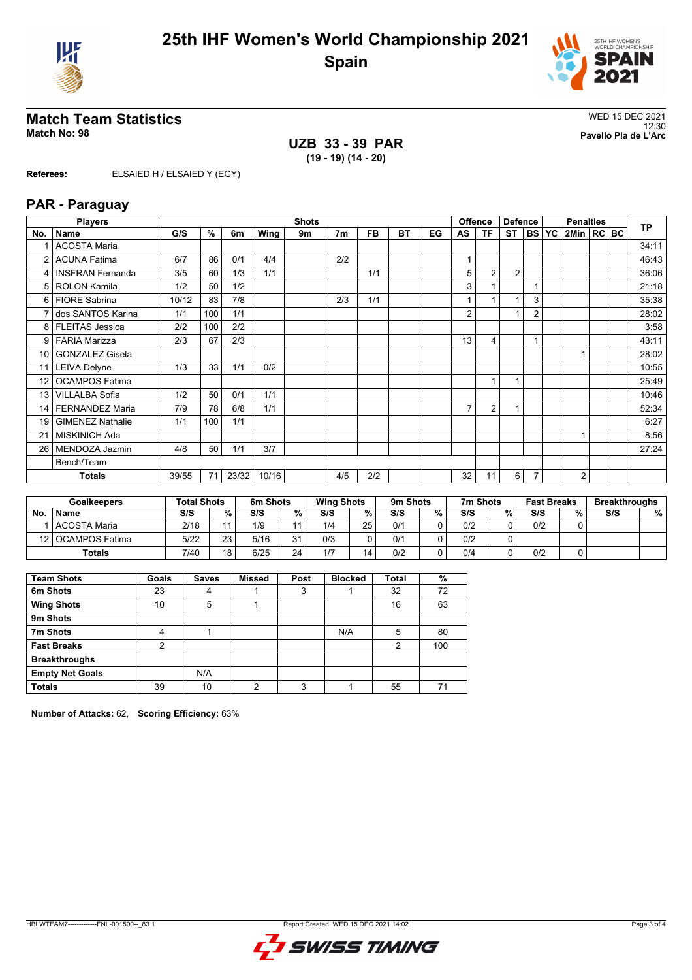



#### **Match Team Statistics** WED 15 DEC 2021 12:30 **Match No: 98 Pavello Pla de L'Arc**

**UZB 33 - 39 PAR (19 - 19) (14 - 20)**

**Referees:** ELSAIED H / ELSAIED Y (EGY)

# **PAR - Paraguay**

|                 | <b>Players</b>          |       |     |       |       | <b>Shots</b> |                |           |           |    | <b>Offence</b> |                | <b>Defence</b> |                | <b>Penalties</b> |                |  |  | <b>TP</b> |
|-----------------|-------------------------|-------|-----|-------|-------|--------------|----------------|-----------|-----------|----|----------------|----------------|----------------|----------------|------------------|----------------|--|--|-----------|
| No.             | Name                    | G/S   | %   | 6m    | Wing  | 9m           | 7 <sub>m</sub> | <b>FB</b> | <b>BT</b> | EG | AS             | <b>TF</b>      | <b>ST</b>      | <b>BSI</b>     | <b>YC</b>        | 2Min   RC BC   |  |  |           |
|                 | <b>ACOSTA Maria</b>     |       |     |       |       |              |                |           |           |    |                |                |                |                |                  |                |  |  | 34:11     |
| 2               | <b>ACUNA Fatima</b>     | 6/7   | 86  | 0/1   | 4/4   |              | 2/2            |           |           |    |                |                |                |                |                  |                |  |  | 46:43     |
| 4               | <b>INSFRAN Fernanda</b> | 3/5   | 60  | 1/3   | 1/1   |              |                | 1/1       |           |    | 5              | $\overline{2}$ | $\overline{2}$ |                |                  |                |  |  | 36:06     |
|                 | 5 ROLON Kamila          | 1/2   | 50  | 1/2   |       |              |                |           |           |    | 3              |                |                |                |                  |                |  |  | 21:18     |
|                 | 6 FIORE Sabrina         | 10/12 | 83  | 7/8   |       |              | 2/3            | 1/1       |           |    |                |                |                | 3              |                  |                |  |  | 35:38     |
|                 | dos SANTOS Karina       | 1/1   | 100 | 1/1   |       |              |                |           |           |    | $\overline{2}$ |                | 4              | $\overline{2}$ |                  |                |  |  | 28:02     |
|                 | 8   FLEITAS Jessica     | 2/2   | 100 | 2/2   |       |              |                |           |           |    |                |                |                |                |                  |                |  |  | 3:58      |
| 9               | <b>FARIA Marizza</b>    | 2/3   | 67  | 2/3   |       |              |                |           |           |    | 13             | 4              |                |                |                  |                |  |  | 43:11     |
| 10              | <b>GONZALEZ Gisela</b>  |       |     |       |       |              |                |           |           |    |                |                |                |                |                  |                |  |  | 28:02     |
| 11              | <b>LEIVA Delyne</b>     | 1/3   | 33  | 1/1   | 0/2   |              |                |           |           |    |                |                |                |                |                  |                |  |  | 10:55     |
| 12              | <b>OCAMPOS Fatima</b>   |       |     |       |       |              |                |           |           |    |                | 1              | 1              |                |                  |                |  |  | 25:49     |
| 13 <sup>1</sup> | <b>VILLALBA Sofia</b>   | 1/2   | 50  | 0/1   | 1/1   |              |                |           |           |    |                |                |                |                |                  |                |  |  | 10:46     |
| 14              | <b>FERNANDEZ Maria</b>  | 7/9   | 78  | 6/8   | 1/1   |              |                |           |           |    | $\overline{7}$ | $\overline{2}$ | 1              |                |                  |                |  |  | 52:34     |
| 19              | <b>GIMENEZ Nathalie</b> | 1/1   | 100 | 1/1   |       |              |                |           |           |    |                |                |                |                |                  |                |  |  | 6:27      |
| 21              | <b>MISKINICH Ada</b>    |       |     |       |       |              |                |           |           |    |                |                |                |                |                  |                |  |  | 8:56      |
| 26              | MENDOZA Jazmin          | 4/8   | 50  | 1/1   | 3/7   |              |                |           |           |    |                |                |                |                |                  |                |  |  | 27:24     |
|                 | Bench/Team              |       |     |       |       |              |                |           |           |    |                |                |                |                |                  |                |  |  |           |
|                 | <b>Totals</b>           | 39/55 | 71  | 23/32 | 10/16 |              | 4/5            | 2/2       |           |    | 32             | 11             | 6              |                |                  | $\overline{2}$ |  |  |           |

|           | <b>Goalkeepers</b>  | <b>Total Shots</b> |    | 6m Shots |                | <b>Wing Shots</b> |    | 9m Shots |   | 7m Shots |   | <b>Fast Breaks</b> |   | <b>Breakthroughs</b> |   |
|-----------|---------------------|--------------------|----|----------|----------------|-------------------|----|----------|---|----------|---|--------------------|---|----------------------|---|
| <b>No</b> | <b>Name</b>         | S/S                | %. | S/S      | %              | S/S               | %  | S/S      | % | S/S      | % | S/S                | % | S/S                  | % |
|           | l ACOSTA Maria      | 2/18               |    | 1/9      |                | 1/4               | 25 | 0/1      |   | 0/2      |   | 0/2                |   |                      |   |
|           | 12   OCAMPOS Fatima | 5/22               | 23 | 5/16     | 2 <sub>1</sub> | 0/3               |    | 0/1      |   | 0/2      |   |                    |   |                      |   |
|           | <b>Totals</b>       | 7/40               | 18 | 6/25     | 24             | 1/7               | 14 | 0/2      |   | 0/4      |   | 0/2                |   |                      |   |

| <b>Team Shots</b>      | Goals          | <b>Saves</b> | <b>Missed</b>  | Post | <b>Blocked</b> | <b>Total</b>   | %   |
|------------------------|----------------|--------------|----------------|------|----------------|----------------|-----|
| 6m Shots               | 23             | 4            |                | 3    |                | 32             | 72  |
| <b>Wing Shots</b>      | 10             | 5            |                |      |                | 16             | 63  |
| 9m Shots               |                |              |                |      |                |                |     |
| 7m Shots               | 4              |              |                |      | N/A            | 5              | 80  |
| <b>Fast Breaks</b>     | $\overline{2}$ |              |                |      |                | $\overline{2}$ | 100 |
| <b>Breakthroughs</b>   |                |              |                |      |                |                |     |
| <b>Empty Net Goals</b> |                | N/A          |                |      |                |                |     |
| <b>Totals</b>          | 39             | 10           | $\mathfrak{p}$ | 3    |                | 55             | 71  |

**Number of Attacks:** 62, **Scoring Efficiency:** 63%